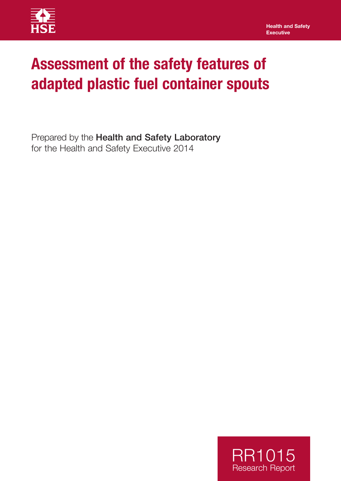

# **Assessment of the safety features of adapted plastic fuel container spouts**

Prepared by the Health and Safety Laboratory for the Health and Safety Executive 2014

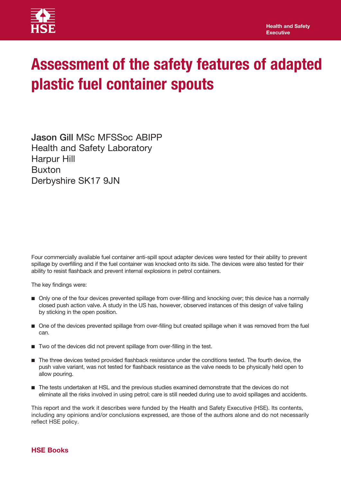

# **Assessment of the safety features of adapted plastic fuel container spouts**

Jason Gill MSc MFSSoc ABIPP Health and Safety Laboratory Harpur Hill Buxton Derbyshire SK17 9JN

Four commercially available fuel container anti-spill spout adapter devices were tested for their ability to prevent spillage by overfilling and if the fuel container was knocked onto its side. The devices were also tested for their ability to resist flashback and prevent internal explosions in petrol containers.

The key findings were:

- n Only one of the four devices prevented spillage from over-filling and knocking over; this device has a normally closed push action valve. A study in the US has, however, observed instances of this design of valve failing by sticking in the open position.
- n One of the devices prevented spillage from over-filling but created spillage when it was removed from the fuel can.
- Two of the devices did not prevent spillage from over-filling in the test.
- n The three devices tested provided flashback resistance under the conditions tested. The fourth device, the push valve variant, was not tested for flashback resistance as the valve needs to be physically held open to allow pouring.
- $\blacksquare$  The tests undertaken at HSL and the previous studies examined demonstrate that the devices do not eliminate all the risks involved in using petrol; care is still needed during use to avoid spillages and accidents.

This report and the work it describes were funded by the Health and Safety Executive (HSE). Its contents, including any opinions and/or conclusions expressed, are those of the authors alone and do not necessarily reflect HSE policy.

## **HSE Books**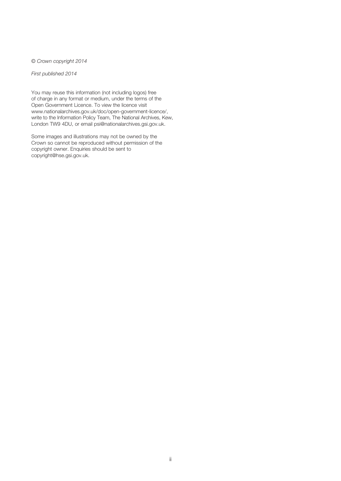© *Crown copyright 2014*

*First published 2014*

You may reuse this information (not including logos) free of charge in any format or medium, under the terms of the Open Government Licence. To view the licence visit www.nationalarchives.gov.uk/doc/open-government-licence/, write to the Information Policy Team, The National Archives, Kew, London TW9 4DU, or email psi@nationalarchives.gsi.gov.uk.

Some images and illustrations may not be owned by the Crown so cannot be reproduced without permission of the copyright owner. Enquiries should be sent to copyright@hse.gsi.gov.uk.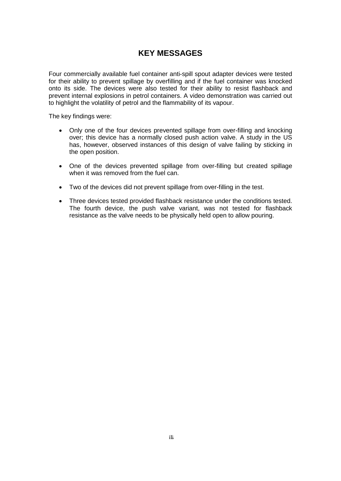# **KEY MESSAGES**

Four commercially available fuel container anti-spill spout adapter devices were tested for their ability to prevent spillage by overfilling and if the fuel container was knocked onto its side. The devices were also tested for their ability to resist flashback and prevent internal explosions in petrol containers. A video demonstration was carried out to highlight the volatility of petrol and the flammability of its vapour.

The key findings were:

- Only one of the four devices prevented spillage from over-filling and knocking over; this device has a normally closed push action valve. A study in the US has, however, observed instances of this design of valve failing by sticking in the open position.
- One of the devices prevented spillage from over-filling but created spillage when it was removed from the fuel can.
- Two of the devices did not prevent spillage from over-filling in the test.
- Three devices tested provided flashback resistance under the conditions tested. The fourth device, the push valve variant, was not tested for flashback resistance as the valve needs to be physically held open to allow pouring.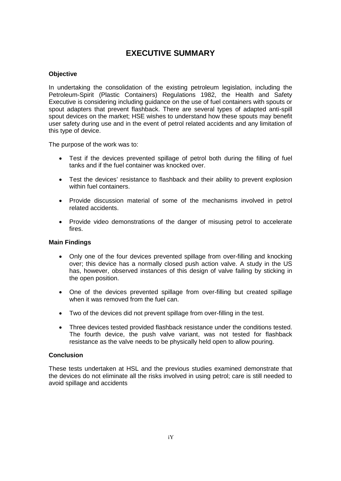# **EXECUTIVE SUMMARY**

#### **Objective**

In undertaking the consolidation of the existing petroleum legislation, including the Petroleum-Spirit (Plastic Containers) Regulations 1982, the Health and Safety Executive is considering including guidance on the use of fuel containers with spouts or spout adapters that prevent flashback. There are several types of adapted anti-spill spout devices on the market; HSE wishes to understand how these spouts may benefit user safety during use and in the event of petrol related accidents and any limitation of this type of device.

The purpose of the work was to:

- Test if the devices prevented spillage of petrol both during the filling of fuel tanks and if the fuel container was knocked over.
- Test the devices' resistance to flashback and their ability to prevent explosion within fuel containers.
- Provide discussion material of some of the mechanisms involved in petrol related accidents.
- Provide video demonstrations of the danger of misusing petrol to accelerate fires.

#### **Main Findings**

- Only one of the four devices prevented spillage from over-filling and knocking over; this device has a normally closed push action valve. A study in the US has, however, observed instances of this design of valve failing by sticking in the open position.
- One of the devices prevented spillage from over-filling but created spillage when it was removed from the fuel can.
- Two of the devices did not prevent spillage from over-filling in the test.
- Three devices tested provided flashback resistance under the conditions tested. The fourth device, the push valve variant, was not tested for flashback resistance as the valve needs to be physically held open to allow pouring.

#### **Conclusion**

These tests undertaken at HSL and the previous studies examined demonstrate that the devices do not eliminate all the risks involved in using petrol; care is still needed to avoid spillage and accidents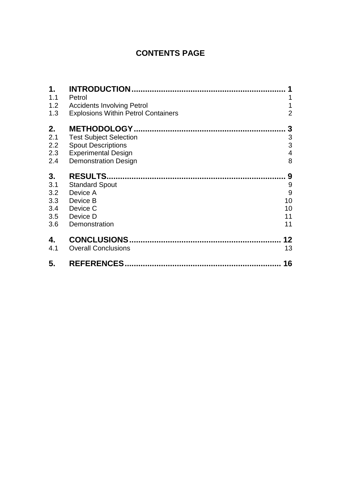# **CONTENTS PAGE**

| 1.  | <b>INTRODUCTION</b>                        |                           |
|-----|--------------------------------------------|---------------------------|
| 1.1 | Petrol                                     | 1                         |
| 1.2 | <b>Accidents Involving Petrol</b>          | 1                         |
| 1.3 | <b>Explosions Within Petrol Containers</b> | $\overline{2}$            |
| 2.  | <b>METHODOLOGY</b>                         | 3                         |
| 2.1 | <b>Test Subject Selection</b>              | $\ensuremath{\mathsf{3}}$ |
| 2.2 | <b>Spout Descriptions</b>                  | 3                         |
| 2.3 | <b>Experimental Design</b>                 | 4                         |
| 2.4 | <b>Demonstration Design</b>                | 8                         |
| 3.  | <b>RESULTS.</b>                            | 9                         |
| 3.1 | <b>Standard Spout</b>                      | 9                         |
| 3.2 | Device A                                   | 9                         |
| 3.3 | Device B                                   | 10                        |
| 3.4 | Device C                                   | 10                        |
| 3.5 | Device D                                   | 11                        |
| 3.6 | Demonstration                              | 11                        |
| 4.  | <b>CONCLUSIONS.</b>                        | 12                        |
| 4.1 | <b>Overall Conclusions</b>                 | 13                        |
| 5.  | <b>REFERENCES</b>                          | 16                        |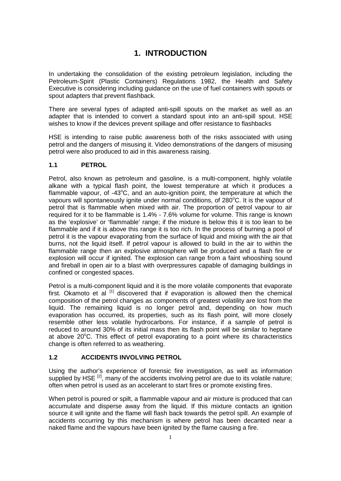# **1. INTRODUCTION**

<span id="page-7-0"></span>In undertaking the consolidation of the existing petroleum legislation, including the Petroleum-Spirit (Plastic Containers) Regulations 1982, the Health and Safety Executive is considering including guidance on the use of fuel containers with spouts or spout adapters that prevent flashback.

There are several types of adapted anti-spill spouts on the market as well as an adapter that is intended to convert a standard spout into an anti-spill spout. HSE wishes to know if the devices prevent spillage and offer resistance to flashbacks

HSE is intending to raise public awareness both of the risks associated with using petrol and the dangers of misusing it. Video demonstrations of the dangers of misusing petrol were also produced to aid in this awareness raising.

#### <span id="page-7-1"></span>**1.1 PETROL**

Petrol, also known as petroleum and gasoline, is a multi-component, highly volatile alkane with a typical flash point, the lowest temperature at which it produces a flammable vapour, of -43°C, and an auto-ignition point, the temperature at which the vapours will spontaneously ignite under normal conditions, of 280°C. It is the vapour of petrol that is flammable when mixed with air. The proportion of petrol vapour to air required for it to be flammable is 1.4% - 7.6% volume for volume. This range is known as the 'explosive' or 'flammable' range; if the mixture is below this it is too lean to be flammable and if it is above this range it is too rich. In the process of burning a pool of petrol it is the vapour evaporating from the surface of liquid and mixing with the air that burns, not the liquid itself. If petrol vapour is allowed to build in the air to within the flammable range then an explosive atmosphere will be produced and a flash fire or explosion will occur if ignited. The explosion can range from a faint whooshing sound and fireball in open air to a blast with overpressures capable of damaging buildings in confined or congested spaces.

Petrol is a multi-component liquid and it is the more volatile components that evaporate first. Okamoto et al  $^{[1]}$  discovered that if evaporation is allowed then the chemical composition of the petrol changes as components of greatest volatility are lost from the liquid. The remaining liquid is no longer petrol and, depending on how much evaporation has occurred, its properties, such as its flash point, will more closely resemble other less volatile hydrocarbons. For instance, if a sample of petrol is reduced to around 30% of its initial mass then its flash point will be similar to heptane at above 20°C. This effect of petrol evaporating to a point where its characteristics change is often referred to as weathering.

## <span id="page-7-2"></span>**1.2 ACCIDENTS INVOLVING PETROL**

Using the author's experience of forensic fire investigation, as well as information supplied by HSE<sup>[2]</sup>, many of the accidents involving petrol are due to its volatile nature; often when petrol is used as an accelerant to start fires or promote existing fires.

When petrol is poured or spilt, a flammable vapour and air mixture is produced that can accumulate and disperse away from the liquid. If this mixture contacts an ignition source it will ignite and the flame will flash back towards the petrol spill. An example of accidents occurring by this mechanism is where petrol has been decanted near a naked flame and the vapours have been ignited by the flame causing a fire.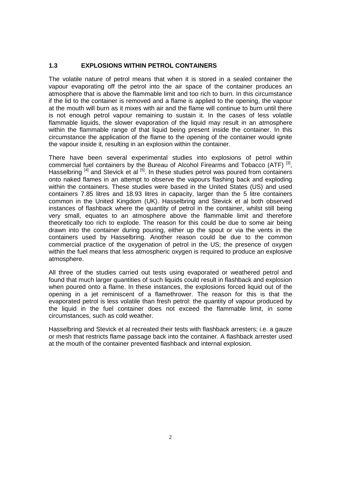#### <span id="page-8-0"></span>**1.3 EXPLOSIONS WITHIN PETROL CONTAINERS**

The volatile nature of petrol means that when it is stored in a sealed container the vapour evaporating off the petrol into the air space of the container produces an atmosphere that is above the flammable limit and too rich to burn. In this circumstance if the lid to the container is removed and a flame is applied to the opening, the vapour at the mouth will burn as it mixes with air and the flame will continue to burn until there is not enough petrol vapour remaining to sustain it. In the cases of less volatile flammable liquids, the slower evaporation of the liquid may result in an atmosphere within the flammable range of that liquid being present inside the container. In this circumstance the application of the flame to the opening of the container would ignite the vapour inside it, resulting in an explosion within the container.

There have been several experimental studies into explosions of petrol within commercial fuel containers by the Bureau of Alcohol Firearms and Tobacco (ATF)<sup>[3]</sup>, Hasselbring <sup>[4]</sup> and Stevick et al <sup>[5]</sup>. In these studies petrol was poured from containers onto naked flames in an attempt to observe the vapours flashing back and exploding within the containers. These studies were based in the United States (US) and used containers 7.85 litres and 18.93 litres in capacity, larger than the 5 litre containers common in the United Kingdom (UK). Hasselbring and Stevick et al both observed instances of flashback where the quantity of petrol in the container, whilst still being very small, equates to an atmosphere above the flammable limit and therefore theoretically too rich to explode. The reason for this could be due to some air being drawn into the container during pouring, either up the spout or via the vents in the containers used by Hasselbring. Another reason could be due to the common commercial practice of the oxygenation of petrol in the US; the presence of oxygen within the fuel means that less atmospheric oxygen is required to produce an explosive atmosphere.

All three of the studies carried out tests using evaporated or weathered petrol and found that much larger quantities of such liquids could result in flashback and explosion when poured onto a flame. In these instances, the explosions forced liquid out of the opening in a jet reminiscent of a flamethrower. The reason for this is that the evaporated petrol is less volatile than fresh petrol: the quantity of vapour produced by the liquid in the fuel container does not exceed the flammable limit, in some circumstances, such as cold weather.

Hasselbring and Stevick et al recreated their tests with flashback arresters; i.e. a gauze or mesh that restricts flame passage back into the container. A flashback arrester used at the mouth of the container prevented flashback and internal explosion.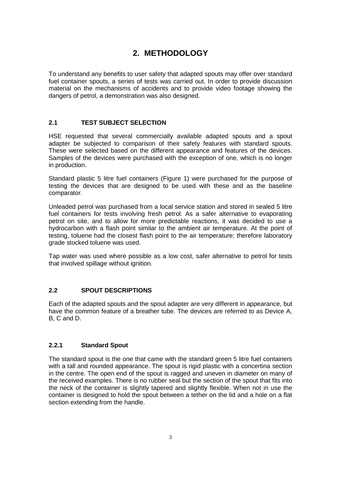# **2. METHODOLOGY**

<span id="page-9-0"></span>To understand any benefits to user safety that adapted spouts may offer over standard fuel container spouts, a series of tests was carried out. In order to provide discussion material on the mechanisms of accidents and to provide video footage showing the dangers of petrol, a demonstration was also designed.

### <span id="page-9-1"></span>**2.1 TEST SUBJECT SELECTION**

HSE requested that several commercially available adapted spouts and a spout adapter be subjected to comparison of their safety features with standard spouts. These were selected based on the different appearance and features of the devices. Samples of the devices were purchased with the exception of one, which is no longer in production.

Standard plastic 5 litre fuel containers (Figure 1) were purchased for the purpose of testing the devices that are designed to be used with these and as the baseline comparator.

Unleaded petrol was purchased from a local service station and stored in sealed 5 litre fuel containers for tests involving fresh petrol. As a safer alternative to evaporating petrol on site, and to allow for more predictable reactions, it was decided to use a hydrocarbon with a flash point similar to the ambient air temperature. At the point of testing, toluene had the closest flash point to the air temperature; therefore laboratory grade stocked toluene was used.

Tap water was used where possible as a low cost, safer alternative to petrol for tests that involved spillage without ignition.

#### <span id="page-9-2"></span>**2.2 SPOUT DESCRIPTIONS**

Each of the adapted spouts and the spout adapter are very different in appearance, but have the common feature of a breather tube. The devices are referred to as Device A, B, C and D.

#### **2.2.1 Standard Spout**

The standard spout is the one that came with the standard green 5 litre fuel containers with a tall and rounded appearance. The spout is rigid plastic with a concertina section in the centre. The open end of the spout is ragged and uneven in diameter on many of the received examples. There is no rubber seal but the section of the spout that fits into the neck of the container is slightly tapered and slightly flexible. When not in use the container is designed to hold the spout between a tether on the lid and a hole on a flat section extending from the handle.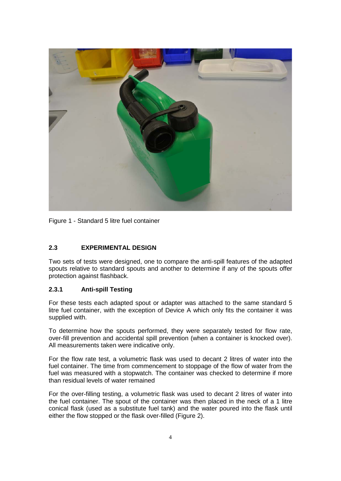

Figure 1 - Standard 5 litre fuel container

## <span id="page-10-0"></span>**2.3 EXPERIMENTAL DESIGN**

Two sets of tests were designed, one to compare the anti-spill features of the adapted spouts relative to standard spouts and another to determine if any of the spouts offer protection against flashback.

#### **2.3.1 Anti-spill Testing**

For these tests each adapted spout or adapter was attached to the same standard 5 litre fuel container, with the exception of Device A which only fits the container it was supplied with.

To determine how the spouts performed, they were separately tested for flow rate, over-fill prevention and accidental spill prevention (when a container is knocked over). All measurements taken were indicative only.

For the flow rate test, a volumetric flask was used to decant 2 litres of water into the fuel container. The time from commencement to stoppage of the flow of water from the fuel was measured with a stopwatch. The container was checked to determine if more than residual levels of water remained

For the over-filling testing, a volumetric flask was used to decant 2 litres of water into the fuel container. The spout of the container was then placed in the neck of a 1 litre conical flask (used as a substitute fuel tank) and the water poured into the flask until either the flow stopped or the flask over-filled (Figure 2).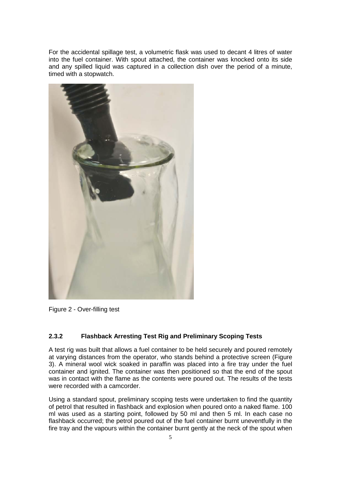For the accidental spillage test, a volumetric flask was used to decant 4 litres of water into the fuel container. With spout attached, the container was knocked onto its side and any spilled liquid was captured in a collection dish over the period of a minute, timed with a stopwatch.



Figure 2 - Over-filling test

#### **2.3.2 Flashback Arresting Test Rig and Preliminary Scoping Tests**

A test rig was built that allows a fuel container to be held securely and poured remotely at varying distances from the operator, who stands behind a protective screen (Figure 3). A mineral wool wick soaked in paraffin was placed into a fire tray under the fuel container and ignited. The container was then positioned so that the end of the spout was in contact with the flame as the contents were poured out. The results of the tests were recorded with a camcorder.

Using a standard spout, preliminary scoping tests were undertaken to find the quantity of petrol that resulted in flashback and explosion when poured onto a naked flame. 100 ml was used as a starting point, followed by 50 ml and then 5 ml. In each case no flashback occurred; the petrol poured out of the fuel container burnt uneventfully in the fire tray and the vapours within the container burnt gently at the neck of the spout when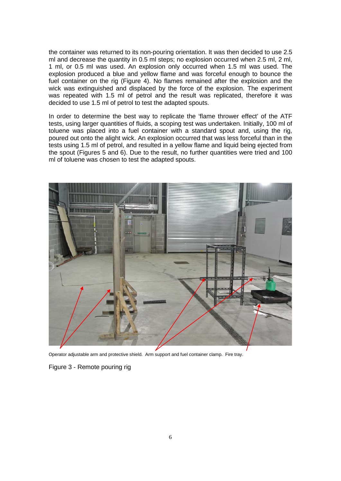the container was returned to its non-pouring orientation. It was then decided to use 2.5 ml and decrease the quantity in 0.5 ml steps; no explosion occurred when 2.5 ml, 2 ml, 1 ml, or 0.5 ml was used. An explosion only occurred when 1.5 ml was used. The explosion produced a blue and yellow flame and was forceful enough to bounce the fuel container on the rig (Figure 4). No flames remained after the explosion and the wick was extinguished and displaced by the force of the explosion. The experiment was repeated with 1.5 ml of petrol and the result was replicated, therefore it was decided to use 1.5 ml of petrol to test the adapted spouts.

In order to determine the best way to replicate the 'flame thrower effect' of the ATF tests, using larger quantities of fluids, a scoping test was undertaken. Initially, 100 ml of toluene was placed into a fuel container with a standard spout and, using the rig, poured out onto the alight wick. An explosion occurred that was less forceful than in the tests using 1.5 ml of petrol, and resulted in a yellow flame and liquid being ejected from the spout (Figures 5 and 6). Due to the result, no further quantities were tried and 100 ml of toluene was chosen to test the adapted spouts.



Operator adjustable arm and protective shield. Arm support and fuel container clamp. Fire tray.

Figure 3 - Remote pouring rig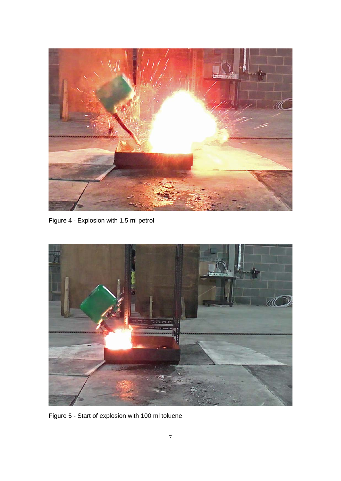

Figure 4 - Explosion with 1.5 ml petrol



Figure 5 - Start of explosion with 100 ml toluene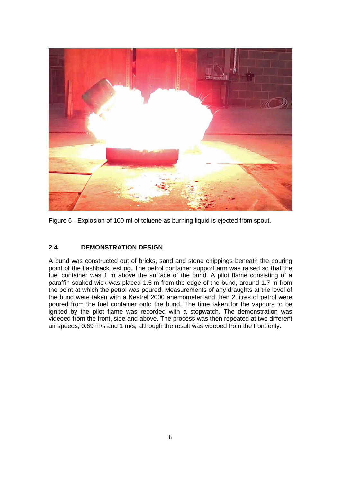

Figure 6 - Explosion of 100 ml of toluene as burning liquid is ejected from spout.

## <span id="page-14-0"></span>**2.4 DEMONSTRATION DESIGN**

A bund was constructed out of bricks, sand and stone chippings beneath the pouring point of the flashback test rig. The petrol container support arm was raised so that the fuel container was 1 m above the surface of the bund. A pilot flame consisting of a paraffin soaked wick was placed 1.5 m from the edge of the bund, around 1.7 m from the point at which the petrol was poured. Measurements of any draughts at the level of the bund were taken with a Kestrel 2000 anemometer and then 2 litres of petrol were poured from the fuel container onto the bund. The time taken for the vapours to be ignited by the pilot flame was recorded with a stopwatch. The demonstration was videoed from the front, side and above. The process was then repeated at two different air speeds, 0.69 m/s and 1 m/s, although the result was videoed from the front only.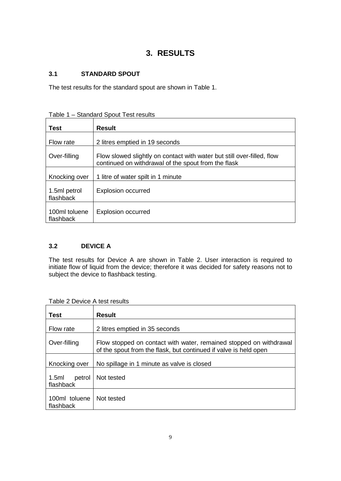# **3. RESULTS**

## <span id="page-15-1"></span><span id="page-15-0"></span>**3.1 STANDARD SPOUT**

The test results for the standard spout are shown in Table 1.

| Table 1 - Standard Spout Test results |  |
|---------------------------------------|--|
|---------------------------------------|--|

| , uviv<br>Standard Opout Toot Toodito |                                                                                                                               |  |  |  |
|---------------------------------------|-------------------------------------------------------------------------------------------------------------------------------|--|--|--|
| <b>Test</b>                           | <b>Result</b>                                                                                                                 |  |  |  |
| Flow rate                             | 2 litres emptied in 19 seconds                                                                                                |  |  |  |
| Over-filling                          | Flow slowed slightly on contact with water but still over-filled, flow<br>continued on withdrawal of the spout from the flask |  |  |  |
| Knocking over                         | 1 litre of water spilt in 1 minute                                                                                            |  |  |  |
| 1.5ml petrol<br>flashback             | <b>Explosion occurred</b>                                                                                                     |  |  |  |
| 100ml toluene<br>flashback            | <b>Explosion occurred</b>                                                                                                     |  |  |  |

## <span id="page-15-2"></span>**3.2 DEVICE A**

The test results for Device A are shown in Table 2. User interaction is required to initiate flow of liquid from the device; therefore it was decided for safety reasons not to subject the device to flashback testing.

Table 2 Device A test results

| Test                         | <b>Result</b>                                                                                                                          |
|------------------------------|----------------------------------------------------------------------------------------------------------------------------------------|
| Flow rate                    | 2 litres emptied in 35 seconds                                                                                                         |
| Over-filling                 | Flow stopped on contact with water, remained stopped on withdrawal<br>of the spout from the flask, but continued if valve is held open |
| Knocking over                | No spillage in 1 minute as valve is closed                                                                                             |
| 1.5ml<br>petrol<br>flashback | Not tested                                                                                                                             |
| 100ml toluene<br>flashback   | Not tested                                                                                                                             |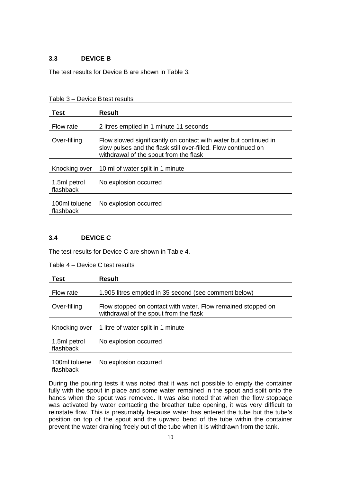## <span id="page-16-0"></span>**3.3 DEVICE B**

The test results for Device B are shown in Table 3.

Table 3 – Device B test results

| <b>Test</b>                | <b>Result</b>                                                                                                                                                                |  |  |  |
|----------------------------|------------------------------------------------------------------------------------------------------------------------------------------------------------------------------|--|--|--|
| Flow rate                  | 2 litres emptied in 1 minute 11 seconds                                                                                                                                      |  |  |  |
| Over-filling               | Flow slowed significantly on contact with water but continued in<br>slow pulses and the flask still over-filled. Flow continued on<br>withdrawal of the spout from the flask |  |  |  |
| Knocking over              | 10 ml of water spilt in 1 minute                                                                                                                                             |  |  |  |
| 1.5ml petrol<br>flashback  | No explosion occurred                                                                                                                                                        |  |  |  |
| 100ml toluene<br>flashback | No explosion occurred                                                                                                                                                        |  |  |  |

## <span id="page-16-1"></span>**3.4 DEVICE C**

The test results for Device C are shown in Table 4.

| Test                       | <b>Result</b>                                                                                          |  |
|----------------------------|--------------------------------------------------------------------------------------------------------|--|
| Flow rate                  | 1.905 litres emptied in 35 second (see comment below)                                                  |  |
| Over-filling               | Flow stopped on contact with water. Flow remained stopped on<br>withdrawal of the spout from the flask |  |
| Knocking over              | 1 litre of water spilt in 1 minute                                                                     |  |
| 1.5ml petrol<br>flashback  | No explosion occurred                                                                                  |  |
| 100ml toluene<br>flashback | No explosion occurred                                                                                  |  |

Table 4 – Device C test results

During the pouring tests it was noted that it was not possible to empty the container fully with the spout in place and some water remained in the spout and spilt onto the hands when the spout was removed. It was also noted that when the flow stoppage was activated by water contacting the breather tube opening, it was very difficult to reinstate flow. This is presumably because water has entered the tube but the tube's position on top of the spout and the upward bend of the tube within the container prevent the water draining freely out of the tube when it is withdrawn from the tank.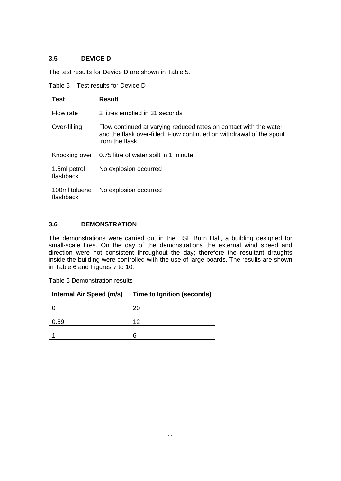## <span id="page-17-0"></span>**3.5 DEVICE D**

The test results for Device D are shown in Table 5.

| Test                       | <b>Result</b>                                                                                                                                               |
|----------------------------|-------------------------------------------------------------------------------------------------------------------------------------------------------------|
| Flow rate                  | 2 litres emptied in 31 seconds                                                                                                                              |
| Over-filling               | Flow continued at varying reduced rates on contact with the water<br>and the flask over-filled. Flow continued on withdrawal of the spout<br>from the flask |
| Knocking over              | 0.75 litre of water spilt in 1 minute                                                                                                                       |
| 1.5ml petrol<br>flashback  | No explosion occurred                                                                                                                                       |
| 100ml toluene<br>flashback | No explosion occurred                                                                                                                                       |

Table 5 – Test results for Device D

## <span id="page-17-1"></span>**3.6 DEMONSTRATION**

The demonstrations were carried out in the HSL Burn Hall, a building designed for small-scale fires. On the day of the demonstrations the external wind speed and direction were not consistent throughout the day; therefore the resultant draughts inside the building were controlled with the use of large boards. The results are shown in Table 6 and Figures 7 to 10.

| Internal Air Speed (m/s) | Time to Ignition (seconds) |
|--------------------------|----------------------------|
|                          | 20                         |
| 0.69                     | 12                         |
|                          | 6                          |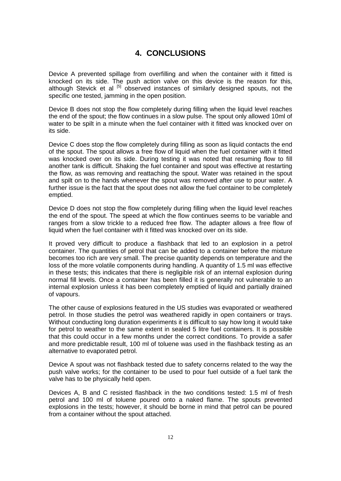# **4. CONCLUSIONS**

<span id="page-18-0"></span>Device A prevented spillage from overfilling and when the container with it fitted is knocked on its side. The push action valve on this device is the reason for this, although Stevick et al  $\left[5\right]$  observed instances of similarly designed spouts, not the specific one tested, jamming in the open position.

Device B does not stop the flow completely during filling when the liquid level reaches the end of the spout; the flow continues in a slow pulse. The spout only allowed 10ml of water to be spilt in a minute when the fuel container with it fitted was knocked over on its side.

Device C does stop the flow completely during filling as soon as liquid contacts the end of the spout. The spout allows a free flow of liquid when the fuel container with it fitted was knocked over on its side. During testing it was noted that resuming flow to fill another tank is difficult. Shaking the fuel container and spout was effective at restarting the flow, as was removing and reattaching the spout. Water was retained in the spout and spilt on to the hands whenever the spout was removed after use to pour water. A further issue is the fact that the spout does not allow the fuel container to be completely emptied.

Device D does not stop the flow completely during filling when the liquid level reaches the end of the spout. The speed at which the flow continues seems to be variable and ranges from a slow trickle to a reduced free flow. The adapter allows a free flow of liquid when the fuel container with it fitted was knocked over on its side.

It proved very difficult to produce a flashback that led to an explosion in a petrol container. The quantities of petrol that can be added to a container before the mixture becomes too rich are very small. The precise quantity depends on temperature and the loss of the more volatile components during handling. A quantity of 1.5 ml was effective in these tests; this indicates that there is negligible risk of an internal explosion during normal fill levels. Once a container has been filled it is generally not vulnerable to an internal explosion unless it has been completely emptied of liquid and partially drained of vapours.

The other cause of explosions featured in the US studies was evaporated or weathered petrol. In those studies the petrol was weathered rapidly in open containers or trays. Without conducting long duration experiments it is difficult to say how long it would take for petrol to weather to the same extent in sealed 5 litre fuel containers. It is possible that this could occur in a few months under the correct conditions. To provide a safer and more predictable result, 100 ml of toluene was used in the flashback testing as an alternative to evaporated petrol.

Device A spout was not flashback tested due to safety concerns related to the way the push valve works; for the container to be used to pour fuel outside of a fuel tank the valve has to be physically held open.

Devices A, B and C resisted flashback in the two conditions tested: 1.5 ml of fresh petrol and 100 ml of toluene poured onto a naked flame. The spouts prevented explosions in the tests; however, it should be borne in mind that petrol can be poured from a container without the spout attached.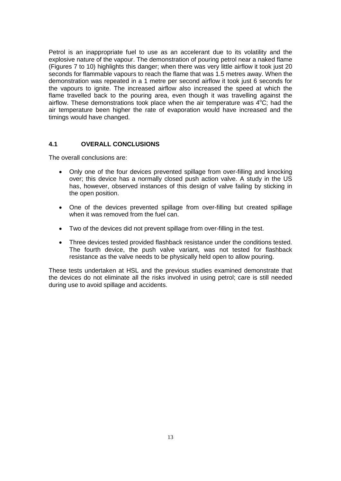Petrol is an inappropriate fuel to use as an accelerant due to its volatility and the explosive nature of the vapour. The demonstration of pouring petrol near a naked flame (Figures 7 to 10) highlights this danger; when there was very little airflow it took just 20 seconds for flammable vapours to reach the flame that was 1.5 metres away. When the demonstration was repeated in a 1 metre per second airflow it took just 6 seconds for the vapours to ignite. The increased airflow also increased the speed at which the flame travelled back to the pouring area, even though it was travelling against the airflow. These demonstrations took place when the air temperature was  $4^{\circ}$ C; had the air temperature been higher the rate of evaporation would have increased and the timings would have changed.

#### <span id="page-19-0"></span>**4.1 OVERALL CONCLUSIONS**

The overall conclusions are:

- Only one of the four devices prevented spillage from over-filling and knocking over; this device has a normally closed push action valve. A study in the US has, however, observed instances of this design of valve failing by sticking in the open position.
- One of the devices prevented spillage from over-filling but created spillage when it was removed from the fuel can.
- Two of the devices did not prevent spillage from over-filling in the test.
- Three devices tested provided flashback resistance under the conditions tested. The fourth device, the push valve variant, was not tested for flashback resistance as the valve needs to be physically held open to allow pouring.

These tests undertaken at HSL and the previous studies examined demonstrate that the devices do not eliminate all the risks involved in using petrol; care is still needed during use to avoid spillage and accidents.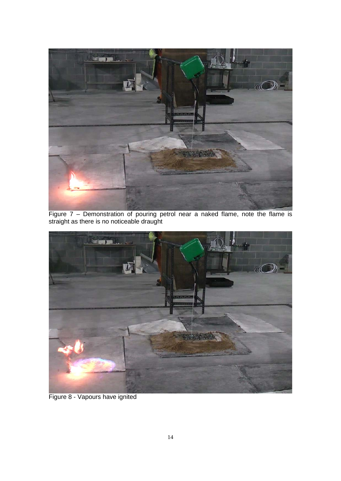

Figure 7 – Demonstration of pouring petrol near a naked flame, note the flame is straight as there is no noticeable draught



Figure 8 - Vapours have ignited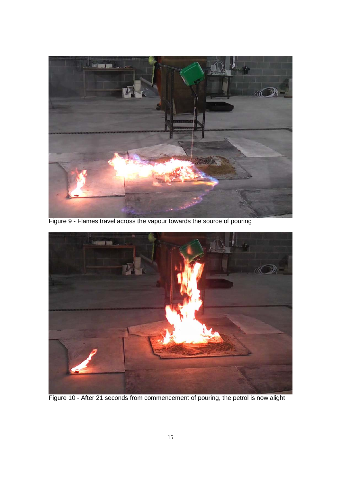

Figure 9 - Flames travel across the vapour towards the source of pouring



Figure 10 - After 21 seconds from commencement of pouring, the petrol is now alight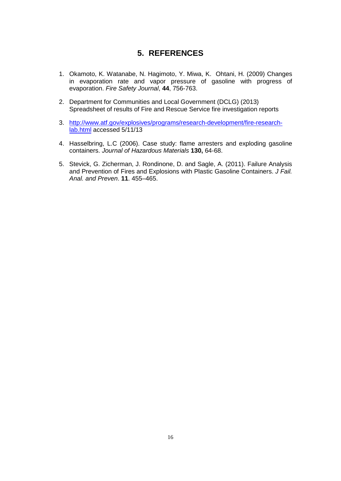# **5. REFERENCES**

- <span id="page-22-0"></span>1. Okamoto, K. Watanabe, N. Hagimoto, Y. Miwa, K. Ohtani, H. (2009) Changes in evaporation rate and vapor pressure of gasoline with progress of evaporation. *Fire Safety Journal*, **44**, 756-763.
- 2. Department for Communities and Local Government (DCLG) (2013) Spreadsheet of results of Fire and Rescue Service fire investigation reports
- 3. [http://www.atf.gov/explosives/programs/research-development/fire-research](http://www.atf.gov/explosives/programs/research-development/fire-research-lab.html)[lab.html](http://www.atf.gov/explosives/programs/research-development/fire-research-lab.html) accessed 5/11/13
- 4. Hasselbring, L.C (2006). Case study: flame arresters and exploding gasoline containers. *Journal of Hazardous Materials* **130,** 64-68.
- 5. Stevick, G. Zicherman, J. Rondinone, D. and Sagle, A. (2011). Failure Analysis and Prevention of Fires and Explosions with Plastic Gasoline Containers. *J Fail. Anal. and Preven*. **11**. 455–465.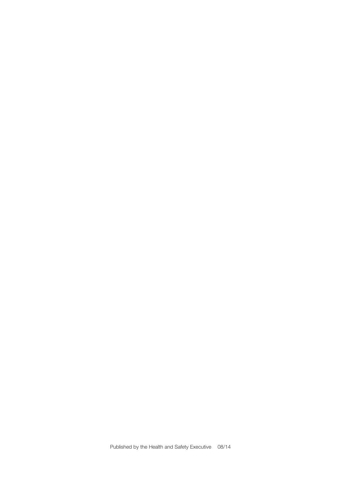Published by the Health and Safety Executive 08/14